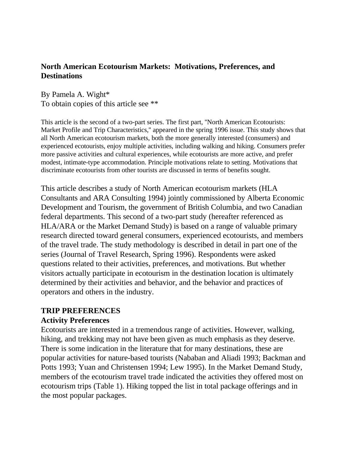### **North American Ecotourism Markets: Motivations, Preferences, and Destinations**

By Pamela A. Wight\* To obtain copies of this article see \*\*

This article is the second of a two-part series. The first part, ''North American Ecotourists: Market Profile and Trip Characteristics,'' appeared in the spring 1996 issue. This study shows that all North American ecotourism markets, both the more generally interested (consumers) and experienced ecotourists, enjoy multiple activities, including walking and hiking. Consumers prefer more passive activities and cultural experiences, while ecotourists are more active, and prefer modest, intimate-type accommodation. Principle motivations relate to setting. Motivations that discriminate ecotourists from other tourists are discussed in terms of benefits sought.

This article describes a study of North American ecotourism markets (HLA Consultants and ARA Consulting 1994) jointly commissioned by Alberta Economic Development and Tourism, the government of British Columbia, and two Canadian federal departments. This second of a two-part study (hereafter referenced as HLA/ARA or the Market Demand Study) is based on a range of valuable primary research directed toward general consumers, experienced ecotourists, and members of the travel trade. The study methodology is described in detail in part one of the series (Journal of Travel Research, Spring 1996). Respondents were asked questions related to their activities, preferences, and motivations. But whether visitors actually participate in ecotourism in the destination location is ultimately determined by their activities and behavior, and the behavior and practices of operators and others in the industry.

### **TRIP PREFERENCES**

#### **Activity Preferences**

Ecotourists are interested in a tremendous range of activities. However, walking, hiking, and trekking may not have been given as much emphasis as they deserve. There is some indication in the literature that for many destinations, these are popular activities for nature-based tourists (Nababan and Aliadi 1993; Backman and Potts 1993; Yuan and Christensen 1994; Lew 1995). In the Market Demand Study, members of the ecotourism travel trade indicated the activities they offered most on ecotourism trips (Table 1). Hiking topped the list in total package offerings and in the most popular packages.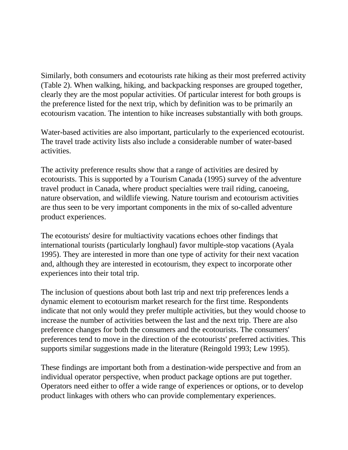Similarly, both consumers and ecotourists rate hiking as their most preferred activity (Table 2). When walking, hiking, and backpacking responses are grouped together, clearly they are the most popular activities. Of particular interest for both groups is the preference listed for the next trip, which by definition was to be primarily an ecotourism vacation. The intention to hike increases substantially with both groups.

Water-based activities are also important, particularly to the experienced ecotourist. The travel trade activity lists also include a considerable number of water-based activities.

The activity preference results show that a range of activities are desired by ecotourists. This is supported by a Tourism Canada (1995) survey of the adventure travel product in Canada, where product specialties were trail riding, canoeing, nature observation, and wildlife viewing. Nature tourism and ecotourism activities are thus seen to be very important components in the mix of so-called adventure product experiences.

The ecotourists' desire for multiactivity vacations echoes other findings that international tourists (particularly longhaul) favor multiple-stop vacations (Ayala 1995). They are interested in more than one type of activity for their next vacation and, although they are interested in ecotourism, they expect to incorporate other experiences into their total trip.

The inclusion of questions about both last trip and next trip preferences lends a dynamic element to ecotourism market research for the first time. Respondents indicate that not only would they prefer multiple activities, but they would choose to increase the number of activities between the last and the next trip. There are also preference changes for both the consumers and the ecotourists. The consumers' preferences tend to move in the direction of the ecotourists' preferred activities. This supports similar suggestions made in the literature (Reingold 1993; Lew 1995).

These findings are important both from a destination-wide perspective and from an individual operator perspective, when product package options are put together. Operators need either to offer a wide range of experiences or options, or to develop product linkages with others who can provide complementary experiences.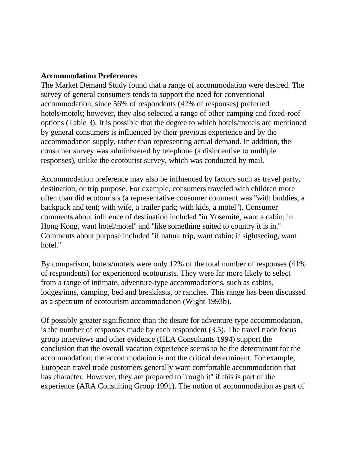#### **Accommodation Preferences**

The Market Demand Study found that a range of accommodation were desired. The survey of general consumers tends to support the need for conventional accommodation, since 56% of respondents (42% of responses) preferred hotels/motels; however, they also selected a range of other camping and fixed-roof options (Table 3). It is possible that the degree to which hotels/motels are mentioned by general consumers is influenced by their previous experience and by the accommodation supply, rather than representing actual demand. In addition, the consumer survey was administered by telephone (a disincentive to multiple responses), unlike the ecotourist survey, which was conducted by mail.

Accommodation preference may also be influenced by factors such as travel party, destination, or trip purpose. For example, consumers traveled with children more often than did ecotourists (a representative consumer comment was ''with buddies, a backpack and tent; with wife, a trailer park; with kids, a motel''). Consumer comments about influence of destination included ''in Yosemite, want a cabin; in Hong Kong, want hotel/motel'' and ''like something suited to country it is in.'' Comments about purpose included ''if nature trip, want cabin; if sightseeing, want hotel.''

By comparison, hotels/motels were only 12% of the total number of responses (41% of respondents) for experienced ecotourists. They were far more likely to select from a range of intimate, adventure-type accommodations, such as cabins, lodges/inns, camping, bed and breakfasts, or ranches. This range has been discussed as a spectrum of ecotourism accommodation (Wight 1993b).

Of possibly greater significance than the desire for adventure-type accommodation, is the number of responses made by each respondent (3.5). The travel trade focus group interviews and other evidence (HLA Consultants 1994) support the conclusion that the overall vacation experience seems to be the determinant for the accommodation; the accommodation is not the critical determinant. For example, European travel trade customers generally want comfortable accommodation that has character. However, they are prepared to ''rough it'' if this is part of the experience (ARA Consulting Group 1991). The notion of accommodation as part of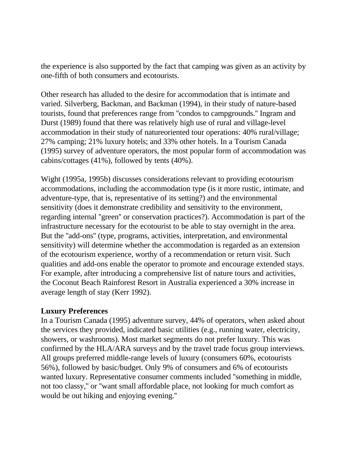the experience is also supported by the fact that camping was given as an activity by one-fifth of both consumers and ecotourists.

Other research has alluded to the desire for accommodation that is intimate and varied. Silverberg, Backman, and Backman (1994), in their study of nature-based tourists, found that preferences range from ''condos to campgrounds.'' Ingram and Durst (1989) found that there was relatively high use of rural and village-level accommodation in their study of natureoriented tour operations: 40% rural/village; 27% camping; 21% luxury hotels; and 33% other hotels. In a Tourism Canada (1995) survey of adventure operators, the most popular form of accommodation was cabins/cottages (41%), followed by tents (40%).

Wight (1995a, 1995b) discusses considerations relevant to providing ecotourism accommodations, including the accommodation type (is it more rustic, intimate, and adventure-type, that is, representative of its setting?) and the environmental sensitivity (does it demonstrate credibility and sensitivity to the environment, regarding internal ''green'' or conservation practices?). Accommodation is part of the infrastructure necessary for the ecotourist to be able to stay overnight in the area. But the ''add-ons'' (type, programs, activities, interpretation, and environmental sensitivity) will determine whether the accommodation is regarded as an extension of the ecotourism experience, worthy of a recommendation or return visit. Such qualities and add-ons enable the operator to promote and encourage extended stays. For example, after introducing a comprehensive list of nature tours and activities, the Coconut Beach Rainforest Resort in Australia experienced a 30% increase in average length of stay (Kerr 1992).

### **Luxury Preferences**

In a Tourism Canada (1995) adventure survey, 44% of operators, when asked about the services they provided, indicated basic utilities (e.g., running water, electricity, showers, or washrooms). Most market segments do not prefer luxury. This was confirmed by the HLA/ARA surveys and by the travel trade focus group interviews. All groups preferred middle-range levels of luxury (consumers 60%, ecotourists 56%), followed by basic/budget. Only 9% of consumers and 6% of ecotourists wanted luxury. Representative consumer comments included ''something in middle, not too classy,'' or ''want small affordable place, not looking for much comfort as would be out hiking and enjoying evening.''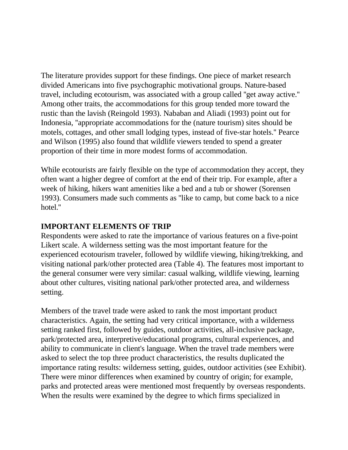The literature provides support for these findings. One piece of market research divided Americans into five psychographic motivational groups. Nature-based travel, including ecotourism, was associated with a group called ''get away active.'' Among other traits, the accommodations for this group tended more toward the rustic than the lavish (Reingold 1993). Nababan and Aliadi (1993) point out for Indonesia, ''appropriate accommodations for the (nature tourism) sites should be motels, cottages, and other small lodging types, instead of five-star hotels.'' Pearce and Wilson (1995) also found that wildlife viewers tended to spend a greater proportion of their time in more modest forms of accommodation.

While ecotourists are fairly flexible on the type of accommodation they accept, they often want a higher degree of comfort at the end of their trip. For example, after a week of hiking, hikers want amenities like a bed and a tub or shower (Sorensen 1993). Consumers made such comments as ''like to camp, but come back to a nice hotel.''

### **IMPORTANT ELEMENTS OF TRIP**

Respondents were asked to rate the importance of various features on a five-point Likert scale. A wilderness setting was the most important feature for the experienced ecotourism traveler, followed by wildlife viewing, hiking/trekking, and visiting national park/other protected area (Table 4). The features most important to the general consumer were very similar: casual walking, wildlife viewing, learning about other cultures, visiting national park/other protected area, and wilderness setting.

Members of the travel trade were asked to rank the most important product characteristics. Again, the setting had very critical importance, with a wilderness setting ranked first, followed by guides, outdoor activities, all-inclusive package, park/protected area, interpretive/educational programs, cultural experiences, and ability to communicate in client's language. When the travel trade members were asked to select the top three product characteristics, the results duplicated the importance rating results: wilderness setting, guides, outdoor activities (see Exhibit). There were minor differences when examined by country of origin; for example, parks and protected areas were mentioned most frequently by overseas respondents. When the results were examined by the degree to which firms specialized in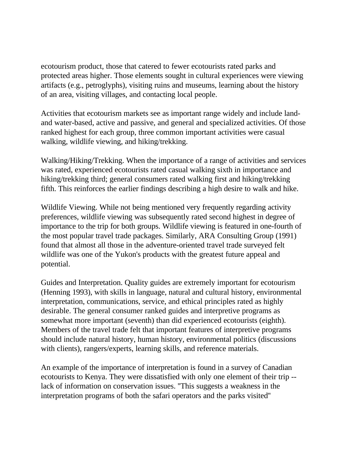ecotourism product, those that catered to fewer ecotourists rated parks and protected areas higher. Those elements sought in cultural experiences were viewing artifacts (e.g., petroglyphs), visiting ruins and museums, learning about the history of an area, visiting villages, and contacting local people.

Activities that ecotourism markets see as important range widely and include landand water-based, active and passive, and general and specialized activities. Of those ranked highest for each group, three common important activities were casual walking, wildlife viewing, and hiking/trekking.

Walking/Hiking/Trekking. When the importance of a range of activities and services was rated, experienced ecotourists rated casual walking sixth in importance and hiking/trekking third; general consumers rated walking first and hiking/trekking fifth. This reinforces the earlier findings describing a high desire to walk and hike.

Wildlife Viewing. While not being mentioned very frequently regarding activity preferences, wildlife viewing was subsequently rated second highest in degree of importance to the trip for both groups. Wildlife viewing is featured in one-fourth of the most popular travel trade packages. Similarly, ARA Consulting Group (1991) found that almost all those in the adventure-oriented travel trade surveyed felt wildlife was one of the Yukon's products with the greatest future appeal and potential.

Guides and Interpretation. Quality guides are extremely important for ecotourism (Henning 1993), with skills in language, natural and cultural history, environmental interpretation, communications, service, and ethical principles rated as highly desirable. The general consumer ranked guides and interpretive programs as somewhat more important (seventh) than did experienced ecotourists (eighth). Members of the travel trade felt that important features of interpretive programs should include natural history, human history, environmental politics (discussions with clients), rangers/experts, learning skills, and reference materials.

An example of the importance of interpretation is found in a survey of Canadian ecotourists to Kenya. They were dissatisfied with only one element of their trip - lack of information on conservation issues. ''This suggests a weakness in the interpretation programs of both the safari operators and the parks visited''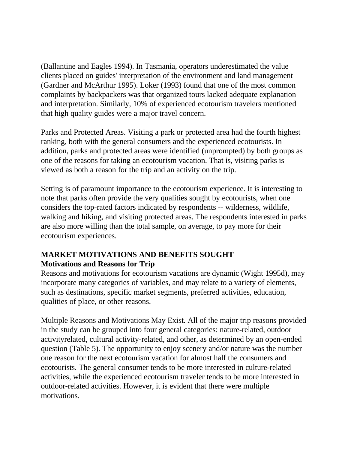(Ballantine and Eagles 1994). In Tasmania, operators underestimated the value clients placed on guides' interpretation of the environment and land management (Gardner and McArthur 1995). Loker (1993) found that one of the most common complaints by backpackers was that organized tours lacked adequate explanation and interpretation. Similarly, 10% of experienced ecotourism travelers mentioned that high quality guides were a major travel concern.

Parks and Protected Areas. Visiting a park or protected area had the fourth highest ranking, both with the general consumers and the experienced ecotourists. In addition, parks and protected areas were identified (unprompted) by both groups as one of the reasons for taking an ecotourism vacation. That is, visiting parks is viewed as both a reason for the trip and an activity on the trip.

Setting is of paramount importance to the ecotourism experience. It is interesting to note that parks often provide the very qualities sought by ecotourists, when one considers the top-rated factors indicated by respondents -- wilderness, wildlife, walking and hiking, and visiting protected areas. The respondents interested in parks are also more willing than the total sample, on average, to pay more for their ecotourism experiences.

# **MARKET MOTIVATIONS AND BENEFITS SOUGHT Motivations and Reasons for Trip**

Reasons and motivations for ecotourism vacations are dynamic (Wight 1995d), may incorporate many categories of variables, and may relate to a variety of elements, such as destinations, specific market segments, preferred activities, education, qualities of place, or other reasons.

Multiple Reasons and Motivations May Exist. All of the major trip reasons provided in the study can be grouped into four general categories: nature-related, outdoor activityrelated, cultural activity-related, and other, as determined by an open-ended question (Table 5). The opportunity to enjoy scenery and/or nature was the number one reason for the next ecotourism vacation for almost half the consumers and ecotourists. The general consumer tends to be more interested in culture-related activities, while the experienced ecotourism traveler tends to be more interested in outdoor-related activities. However, it is evident that there were multiple motivations.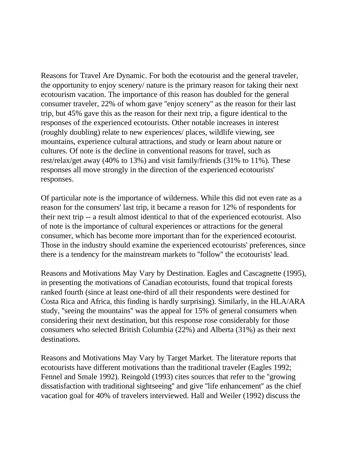Reasons for Travel Are Dynamic. For both the ecotourist and the general traveler, the opportunity to enjoy scenery/ nature is the primary reason for taking their next ecotourism vacation. The importance of this reason has doubled for the general consumer traveler, 22% of whom gave ''enjoy scenery'' as the reason for their last trip, but 45% gave this as the reason for their next trip, a figure identical to the responses of the experienced ecotourists. Other notable increases in interest (roughly doubling) relate to new experiences/ places, wildlife viewing, see mountains, experience cultural attractions, and study or learn about nature or cultures. Of note is the decline in conventional reasons for travel, such as rest/relax/get away (40% to 13%) and visit family/friends (31% to 11%). These responses all move strongly in the direction of the experienced ecotourists' responses.

Of particular note is the importance of wilderness. While this did not even rate as a reason for the consumers' last trip, it became a reason for 12% of respondents for their next trip -- a result almost identical to that of the experienced ecotourist. Also of note is the importance of cultural experiences or attractions for the general consumer, which has become more important than for the experienced ecotourist. Those in the industry should examine the experienced ecotourists' preferences, since there is a tendency for the mainstream markets to ''follow'' the ecotourists' lead.

Reasons and Motivations May Vary by Destination. Eagles and Cascagnette (1995), in presenting the motivations of Canadian ecotourists, found that tropical forests ranked fourth (since at least one-third of all their respondents were destined for Costa Rica and Africa, this finding is hardly surprising). Similarly, in the HLA/ARA study, ''seeing the mountains'' was the appeal for 15% of general consumers when considering their next destination, but this response rose considerably for those consumers who selected British Columbia (22%) and Alberta (31%) as their next destinations.

Reasons and Motivations May Vary by Target Market. The literature reports that ecotourists have different motivations than the traditional traveler (Eagles 1992; Fennel and Smale 1992). Reingold (1993) cites sources that refer to the ''growing dissatisfaction with traditional sightseeing'' and give ''life enhancement'' as the chief vacation goal for 40% of travelers interviewed. Hall and Weiler (1992) discuss the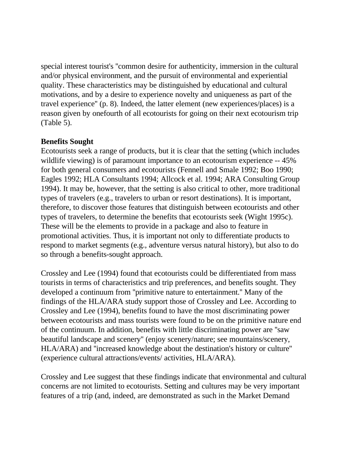special interest tourist's ''common desire for authenticity, immersion in the cultural and/or physical environment, and the pursuit of environmental and experiential quality. These characteristics may be distinguished by educational and cultural motivations, and by a desire to experience novelty and uniqueness as part of the travel experience'' (p. 8). Indeed, the latter element (new experiences/places) is a reason given by onefourth of all ecotourists for going on their next ecotourism trip (Table 5).

### **Benefits Sought**

Ecotourists seek a range of products, but it is clear that the setting (which includes wildlife viewing) is of paramount importance to an ecotourism experience -- 45% for both general consumers and ecotourists (Fennell and Smale 1992; Boo 1990; Eagles 1992; HLA Consultants 1994; Allcock et al. 1994; ARA Consulting Group 1994). It may be, however, that the setting is also critical to other, more traditional types of travelers (e.g., travelers to urban or resort destinations). It is important, therefore, to discover those features that distinguish between ecotourists and other types of travelers, to determine the benefits that ecotourists seek (Wight 1995c). These will be the elements to provide in a package and also to feature in promotional activities. Thus, it is important not only to differentiate products to respond to market segments (e.g., adventure versus natural history), but also to do so through a benefits-sought approach.

Crossley and Lee (1994) found that ecotourists could be differentiated from mass tourists in terms of characteristics and trip preferences, and benefits sought. They developed a continuum from ''primitive nature to entertainment.'' Many of the findings of the HLA/ARA study support those of Crossley and Lee. According to Crossley and Lee (1994), benefits found to have the most discriminating power between ecotourists and mass tourists were found to be on the primitive nature end of the continuum. In addition, benefits with little discriminating power are ''saw beautiful landscape and scenery'' (enjoy scenery/nature; see mountains/scenery, HLA/ARA) and ''increased knowledge about the destination's history or culture'' (experience cultural attractions/events/ activities, HLA/ARA).

Crossley and Lee suggest that these findings indicate that environmental and cultural concerns are not limited to ecotourists. Setting and cultures may be very important features of a trip (and, indeed, are demonstrated as such in the Market Demand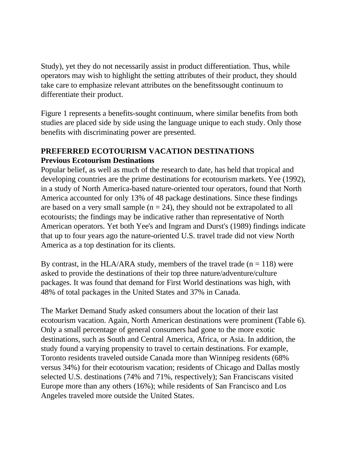Study), yet they do not necessarily assist in product differentiation. Thus, while operators may wish to highlight the setting attributes of their product, they should take care to emphasize relevant attributes on the benefitssought continuum to differentiate their product.

Figure 1 represents a benefits-sought continuum, where similar benefits from both studies are placed side by side using the language unique to each study. Only those benefits with discriminating power are presented.

# **PREFERRED ECOTOURISM VACATION DESTINATIONS**

### **Previous Ecotourism Destinations**

Popular belief, as well as much of the research to date, has held that tropical and developing countries are the prime destinations for ecotourism markets. Yee (1992), in a study of North America-based nature-oriented tour operators, found that North America accounted for only 13% of 48 package destinations. Since these findings are based on a very small sample  $(n = 24)$ , they should not be extrapolated to all ecotourists; the findings may be indicative rather than representative of North American operators. Yet both Yee's and Ingram and Durst's (1989) findings indicate that up to four years ago the nature-oriented U.S. travel trade did not view North America as a top destination for its clients.

By contrast, in the HLA/ARA study, members of the travel trade  $(n = 118)$  were asked to provide the destinations of their top three nature/adventure/culture packages. It was found that demand for First World destinations was high, with 48% of total packages in the United States and 37% in Canada.

The Market Demand Study asked consumers about the location of their last ecotourism vacation. Again, North American destinations were prominent (Table 6). Only a small percentage of general consumers had gone to the more exotic destinations, such as South and Central America, Africa, or Asia. In addition, the study found a varying propensity to travel to certain destinations. For example, Toronto residents traveled outside Canada more than Winnipeg residents (68% versus 34%) for their ecotourism vacation; residents of Chicago and Dallas mostly selected U.S. destinations (74% and 71%, respectively); San Franciscans visited Europe more than any others (16%); while residents of San Francisco and Los Angeles traveled more outside the United States.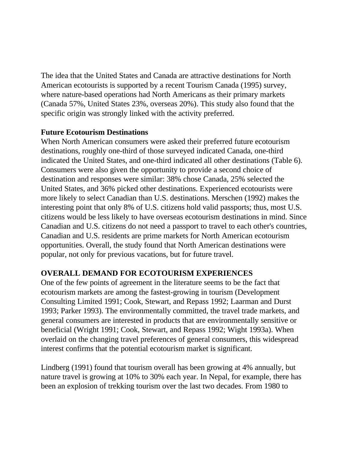The idea that the United States and Canada are attractive destinations for North American ecotourists is supported by a recent Tourism Canada (1995) survey, where nature-based operations had North Americans as their primary markets (Canada 57%, United States 23%, overseas 20%). This study also found that the specific origin was strongly linked with the activity preferred.

### **Future Ecotourism Destinations**

When North American consumers were asked their preferred future ecotourism destinations, roughly one-third of those surveyed indicated Canada, one-third indicated the United States, and one-third indicated all other destinations (Table 6). Consumers were also given the opportunity to provide a second choice of destination and responses were similar: 38% chose Canada, 25% selected the United States, and 36% picked other destinations. Experienced ecotourists were more likely to select Canadian than U.S. destinations. Merschen (1992) makes the interesting point that only 8% of U.S. citizens hold valid passports; thus, most U.S. citizens would be less likely to have overseas ecotourism destinations in mind. Since Canadian and U.S. citizens do not need a passport to travel to each other's countries, Canadian and U.S. residents are prime markets for North American ecotourism opportunities. Overall, the study found that North American destinations were popular, not only for previous vacations, but for future travel.

## **OVERALL DEMAND FOR ECOTOURISM EXPERIENCES**

One of the few points of agreement in the literature seems to be the fact that ecotourism markets are among the fastest-growing in tourism (Development Consulting Limited 1991; Cook, Stewart, and Repass 1992; Laarman and Durst 1993; Parker 1993). The environmentally committed, the travel trade markets, and general consumers are interested in products that are environmentally sensitive or beneficial (Wright 1991; Cook, Stewart, and Repass 1992; Wight 1993a). When overlaid on the changing travel preferences of general consumers, this widespread interest confirms that the potential ecotourism market is significant.

Lindberg (1991) found that tourism overall has been growing at 4% annually, but nature travel is growing at 10% to 30% each year. In Nepal, for example, there has been an explosion of trekking tourism over the last two decades. From 1980 to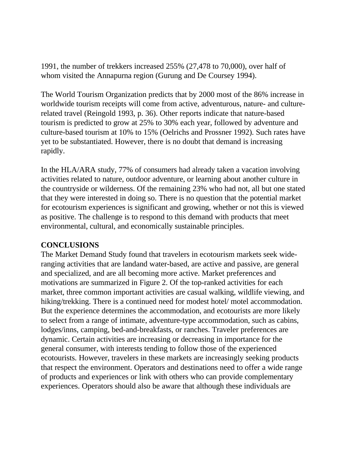1991, the number of trekkers increased 255% (27,478 to 70,000), over half of whom visited the Annapurna region (Gurung and De Coursey 1994).

The World Tourism Organization predicts that by 2000 most of the 86% increase in worldwide tourism receipts will come from active, adventurous, nature- and culturerelated travel (Reingold 1993, p. 36). Other reports indicate that nature-based tourism is predicted to grow at 25% to 30% each year, followed by adventure and culture-based tourism at 10% to 15% (Oelrichs and Prossner 1992). Such rates have yet to be substantiated. However, there is no doubt that demand is increasing rapidly.

In the HLA/ARA study, 77% of consumers had already taken a vacation involving activities related to nature, outdoor adventure, or learning about another culture in the countryside or wilderness. Of the remaining 23% who had not, all but one stated that they were interested in doing so. There is no question that the potential market for ecotourism experiences is significant and growing, whether or not this is viewed as positive. The challenge is to respond to this demand with products that meet environmental, cultural, and economically sustainable principles.

## **CONCLUSIONS**

The Market Demand Study found that travelers in ecotourism markets seek wideranging activities that are landand water-based, are active and passive, are general and specialized, and are all becoming more active. Market preferences and motivations are summarized in Figure 2. Of the top-ranked activities for each market, three common important activities are casual walking, wildlife viewing, and hiking/trekking. There is a continued need for modest hotel/ motel accommodation. But the experience determines the accommodation, and ecotourists are more likely to select from a range of intimate, adventure-type accommodation, such as cabins, lodges/inns, camping, bed-and-breakfasts, or ranches. Traveler preferences are dynamic. Certain activities are increasing or decreasing in importance for the general consumer, with interests tending to follow those of the experienced ecotourists. However, travelers in these markets are increasingly seeking products that respect the environment. Operators and destinations need to offer a wide range of products and experiences or link with others who can provide complementary experiences. Operators should also be aware that although these individuals are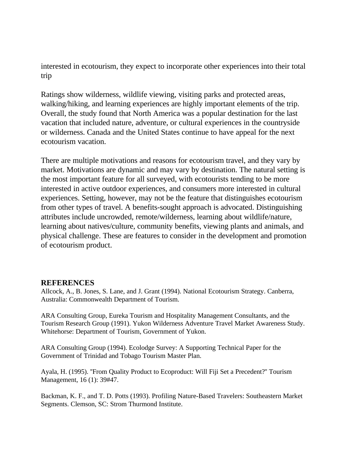interested in ecotourism, they expect to incorporate other experiences into their total trip

Ratings show wilderness, wildlife viewing, visiting parks and protected areas, walking/hiking, and learning experiences are highly important elements of the trip. Overall, the study found that North America was a popular destination for the last vacation that included nature, adventure, or cultural experiences in the countryside or wilderness. Canada and the United States continue to have appeal for the next ecotourism vacation.

There are multiple motivations and reasons for ecotourism travel, and they vary by market. Motivations are dynamic and may vary by destination. The natural setting is the most important feature for all surveyed, with ecotourists tending to be more interested in active outdoor experiences, and consumers more interested in cultural experiences. Setting, however, may not be the feature that distinguishes ecotourism from other types of travel. A benefits-sought approach is advocated. Distinguishing attributes include uncrowded, remote/wilderness, learning about wildlife/nature, learning about natives/culture, community benefits, viewing plants and animals, and physical challenge. These are features to consider in the development and promotion of ecotourism product.

#### **REFERENCES**

Allcock, A., B. Jones, S. Lane, and J. Grant (1994). National Ecotourism Strategy. Canberra, Australia: Commonwealth Department of Tourism.

ARA Consulting Group, Eureka Tourism and Hospitality Management Consultants, and the Tourism Research Group (1991). Yukon Wilderness Adventure Travel Market Awareness Study. Whitehorse: Department of Tourism, Government of Yukon.

ARA Consulting Group (1994). Ecolodge Survey: A Supporting Technical Paper for the Government of Trinidad and Tobago Tourism Master Plan.

Ayala, H. (1995). ''From Quality Product to Ecoproduct: Will Fiji Set a Precedent?'' Tourism Management, 16 (1): 39#47.

Backman, K. F., and T. D. Potts (1993). Profiling Nature-Based Travelers: Southeastern Market Segments. Clemson, SC: Strom Thurmond Institute.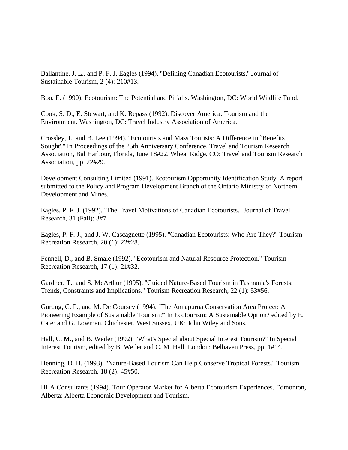Ballantine, J. L., and P. F. J. Eagles (1994). ''Defining Canadian Ecotourists.'' Journal of Sustainable Tourism, 2 (4): 210#13.

Boo, E. (1990). Ecotourism: The Potential and Pitfalls. Washington, DC: World Wildlife Fund.

Cook, S. D., E. Stewart, and K. Repass (1992). Discover America: Tourism and the Environment. Washington, DC: Travel Industry Association of America.

Crossley, J., and B. Lee (1994). ''Ecotourists and Mass Tourists: A Difference in `Benefits Sought'.'' In Proceedings of the 25th Anniversary Conference, Travel and Tourism Research Association, Bal Harbour, Florida, June 18#22. Wheat Ridge, CO: Travel and Tourism Research Association, pp. 22#29.

Development Consulting Limited (1991). Ecotourism Opportunity Identification Study. A report submitted to the Policy and Program Development Branch of the Ontario Ministry of Northern Development and Mines.

Eagles, P. F. J. (1992). ''The Travel Motivations of Canadian Ecotourists.'' Journal of Travel Research, 31 (Fall): 3#7.

Eagles, P. F. J., and J. W. Cascagnette (1995). ''Canadian Ecotourists: Who Are They?'' Tourism Recreation Research, 20 (1): 22#28.

Fennell, D., and B. Smale (1992). ''Ecotourism and Natural Resource Protection.'' Tourism Recreation Research, 17 (1): 21#32.

Gardner, T., and S. McArthur (1995). ''Guided Nature-Based Tourism in Tasmania's Forests: Trends, Constraints and Implications.'' Tourism Recreation Research, 22 (1): 53#56.

Gurung, C. P., and M. De Coursey (1994). ''The Annapurna Conservation Area Project: A Pioneering Example of Sustainable Tourism?'' In Ecotourism: A Sustainable Option? edited by E. Cater and G. Lowman. Chichester, West Sussex, UK: John Wiley and Sons.

Hall, C. M., and B. Weiler (1992). ''What's Special about Special Interest Tourism?'' In Special Interest Tourism, edited by B. Weiler and C. M. Hall. London: Belhaven Press, pp. 1#14.

Henning, D. H. (1993). ''Nature-Based Tourism Can Help Conserve Tropical Forests.'' Tourism Recreation Research, 18 (2): 45#50.

HLA Consultants (1994). Tour Operator Market for Alberta Ecotourism Experiences. Edmonton, Alberta: Alberta Economic Development and Tourism.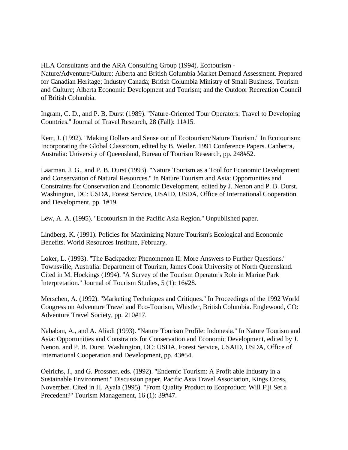HLA Consultants and the ARA Consulting Group (1994). Ecotourism - Nature/Adventure/Culture: Alberta and British Columbia Market Demand Assessment. Prepared for Canadian Heritage; Industry Canada; British Columbia Ministry of Small Business, Tourism and Culture; Alberta Economic Development and Tourism; and the Outdoor Recreation Council of British Columbia.

Ingram, C. D., and P. B. Durst (1989). ''Nature-Oriented Tour Operators: Travel to Developing Countries.'' Journal of Travel Research, 28 (Fall): 11#15.

Kerr, J. (1992). ''Making Dollars and Sense out of Ecotourism/Nature Tourism.'' In Ecotourism: Incorporating the Global Classroom, edited by B. Weiler. 1991 Conference Papers. Canberra, Australia: University of Queensland, Bureau of Tourism Research, pp. 248#52.

Laarman, J. G., and P. B. Durst (1993). ''Nature Tourism as a Tool for Economic Development and Conservation of Natural Resources.'' In Nature Tourism and Asia: Opportunities and Constraints for Conservation and Economic Development, edited by J. Nenon and P. B. Durst. Washington, DC: USDA, Forest Service, USAID, USDA, Office of International Cooperation and Development, pp. 1#19.

Lew, A. A. (1995). ''Ecotourism in the Pacific Asia Region.'' Unpublished paper.

Lindberg, K. (1991). Policies for Maximizing Nature Tourism's Ecological and Economic Benefits. World Resources Institute, February.

Loker, L. (1993). ''The Backpacker Phenomenon II: More Answers to Further Questions.'' Townsville, Australia: Department of Tourism, James Cook University of North Queensland. Cited in M. Hockings (1994). ''A Survey of the Tourism Operator's Role in Marine Park Interpretation.'' Journal of Tourism Studies, 5 (1): 16#28.

Merschen, A. (1992). ''Marketing Techniques and Critiques.'' In Proceedings of the 1992 World Congress on Adventure Travel and Eco-Tourism, Whistler, British Columbia. Englewood, CO: Adventure Travel Society, pp. 210#17.

Nababan, A., and A. Aliadi (1993). ''Nature Tourism Profile: Indonesia.'' In Nature Tourism and Asia: Opportunities and Constraints for Conservation and Economic Development, edited by J. Nenon, and P. B. Durst. Washington, DC: USDA, Forest Service, USAID, USDA, Office of International Cooperation and Development, pp. 43#54.

Oelrichs, I., and G. Prossner, eds. (1992). ''Endemic Tourism: A Profit able Industry in a Sustainable Environment.'' Discussion paper, Pacific Asia Travel Association, Kings Cross, November. Cited in H. Ayala (1995). ''From Quality Product to Ecoproduct: Will Fiji Set a Precedent?'' Tourism Management, 16 (1): 39#47.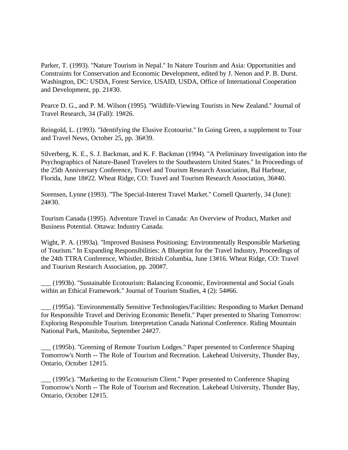Parker, T. (1993). ''Nature Tourism in Nepal.'' In Nature Tourism and Asia: Opportunities and Constraints for Conservation and Economic Development, edited by J. Nenon and P. B. Durst. Washington, DC: USDA, Forest Service, USAID, USDA, Office of International Cooperation and Development, pp. 21#30.

Pearce D. G., and P. M. Wilson (1995). ''Wildlife-Viewing Tourists in New Zealand.'' Journal of Travel Research, 34 (Fall): 19#26.

Reingold, L. (1993). ''Identifying the Elusive Ecotourist.'' In Going Green, a supplement to Tour and Travel News, October 25, pp. 36#39.

Silverberg, K. E., S. J. Backman, and K. F. Backman (1994). ''A Preliminary Investigation into the Psychographics of Nature-Based Travelers to the Southeastern United States.'' In Proceedings of the 25th Anniversary Conference, Travel and Tourism Research Association, Bal Harbour, Florida, June 18#22. Wheat Ridge, CO: Travel and Tourism Research Association, 36#40.

Sorensen, Lynne (1993). ''The Special-Interest Travel Market.'' Cornell Quarterly, 34 (June): 24#30.

Tourism Canada (1995). Adventure Travel in Canada: An Overview of Product, Market and Business Potential. Ottawa: Industry Canada.

Wight, P. A. (1993a). ''Improved Business Positioning: Environmentally Responsible Marketing of Tourism.'' In Expanding Responsibilities: A Blueprint for the Travel Industry, Proceedings of the 24th TTRA Conference, Whistler, British Columbia, June 13#16. Wheat Ridge, CO: Travel and Tourism Research Association, pp. 200#7.

\_\_\_ (1993b). ''Sustainable Ecotourism: Balancing Economic, Environmental and Social Goals within an Ethical Framework.'' Journal of Tourism Studies, 4 (2): 54#66.

\_\_\_ (1995a). ''Environmentally Sensitive Technologies/Facilities: Responding to Market Demand for Responsible Travel and Deriving Economic Benefit.'' Paper presented to Sharing Tomorrow: Exploring Responsible Tourism. Interpretation Canada National Conference. Riding Mountain National Park, Manitoba, September 24#27.

\_\_\_ (1995b). ''Greening of Remote Tourism Lodges.'' Paper presented to Conference Shaping Tomorrow's North -- The Role of Tourism and Recreation. Lakehead University, Thunder Bay, Ontario, October 12#15.

\_\_\_ (1995c). ''Marketing to the Ecotourism Client.'' Paper presented to Conference Shaping Tomorrow's North -- The Role of Tourism and Recreation. Lakehead University, Thunder Bay, Ontario, October 12#15.